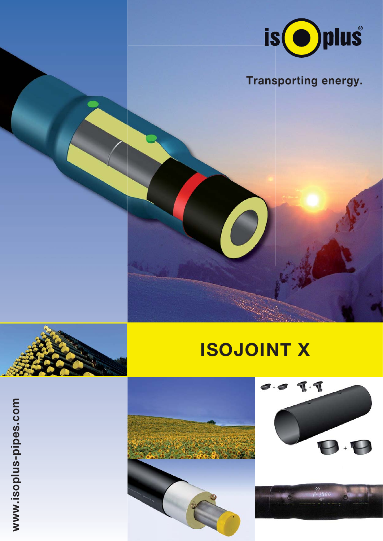

## **Transporting energy.**

## **ISOJOINT X**

www.isoplus-pipes.com **www.isoplus-pipes.com**